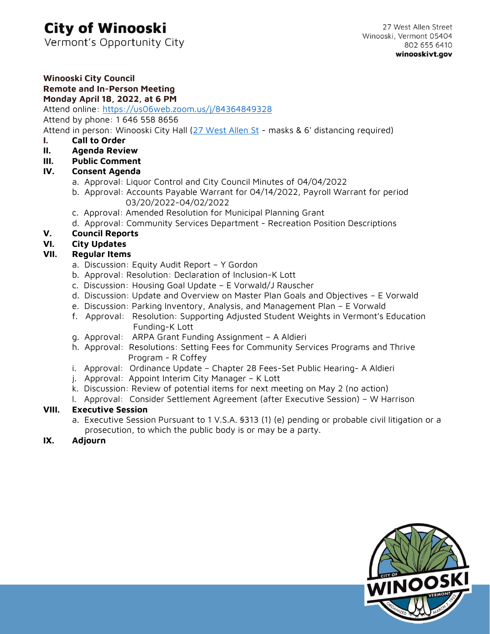# **City of Winooski**

Vermont's Opportunity City

#### **Winooski City Council Remote and In-Person Meeting Monday April 18, 2022, at 6 PM**

# Attend online: <https://us06web.zoom.us/j/84364849328>

Attend by phone: 1 646 558 8656

Attend in person: Winooski City Hall [\(27 West Allen St](https://g.page/winooskivt?share) - masks & 6' distancing required)

- **I. Call to Order**
- **II. Agenda Review**
- **III. Public Comment**
- **IV. Consent Agenda**
	- a. Approval: Liquor Control and City Council Minutes of 04/04/2022
	- b. Approval: Accounts Payable Warrant for 04/14/2022, Payroll Warrant for period 03/20/2022-04/02/2022
	- c. Approval: Amended Resolution for Municipal Planning Grant
	- d. Approval: Community Services Department Recreation Position Descriptions

# **V. Council Reports**

# **VI. City Updates**

# **VII. Regular Items**

- a. Discussion: Equity Audit Report Y Gordon
- b. Approval: Resolution: Declaration of Inclusion-K Lott
- c. Discussion: Housing Goal Update E Vorwald/J Rauscher
- d. Discussion: Update and Overview on Master Plan Goals and Objectives E Vorwald
- e. Discussion: Parking Inventory, Analysis, and Management Plan E Vorwald
- f. Approval: Resolution: Supporting Adjusted Student Weights in Vermont's Education Funding-K Lott
- g. Approval: ARPA Grant Funding Assignment A Aldieri
- h. Approval: Resolutions: Setting Fees for Community Services Programs and Thrive Program - R Coffey
- i. Approval: Ordinance Update Chapter 28 Fees-Set Public Hearing- A Aldieri
- j. Approval: Appoint Interim City Manager K Lott
- k. Discussion: Review of potential items for next meeting on May 2 (no action)
- l. Approval: Consider Settlement Agreement (after Executive Session) W Harrison

# **VIII. Executive Session**

- a. Executive Session Pursuant to 1 V.S.A. §313 (1) (e) pending or probable civil litigation or a prosecution, to which the public body is or may be a party.
- **IX. Adjourn**

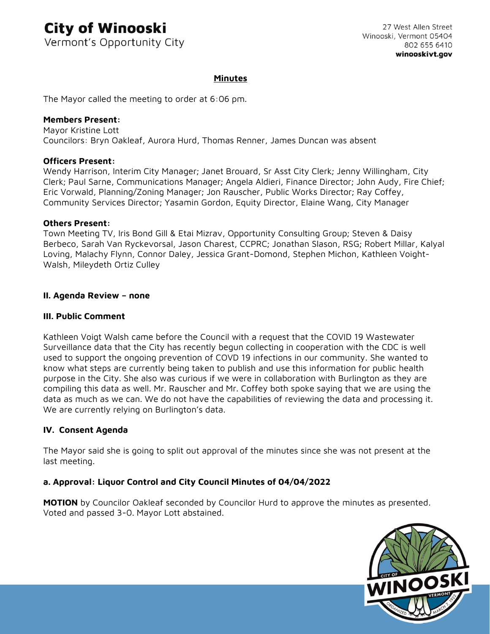# **City of Winooski**

Vermont's Opportunity City

### **Minutes**

The Mayor called the meeting to order at 6:06 pm.

### **Members Present:**

Mayor Kristine Lott Councilors: Bryn Oakleaf, Aurora Hurd, Thomas Renner, James Duncan was absent

### **Officers Present:**

Wendy Harrison, Interim City Manager; Janet Brouard, Sr Asst City Clerk; Jenny Willingham, City Clerk; Paul Sarne, Communications Manager; Angela Aldieri, Finance Director; John Audy, Fire Chief; Eric Vorwald, Planning/Zoning Manager; Jon Rauscher, Public Works Director; Ray Coffey, Community Services Director; Yasamin Gordon, Equity Director, Elaine Wang, City Manager

### **Others Present:**

Town Meeting TV, Iris Bond Gill & Etai Mizrav, Opportunity Consulting Group; Steven & Daisy Berbeco, Sarah Van Ryckevorsal, Jason Charest, CCPRC; Jonathan Slason, RSG; Robert Millar, Kalyal Loving, Malachy Flynn, Connor Daley, Jessica Grant-Domond, Stephen Michon, Kathleen Voight-Walsh, Mileydeth Ortiz Culley

### **II. Agenda Review – none**

### **III. Public Comment**

Kathleen Voigt Walsh came before the Council with a request that the COVID 19 Wastewater Surveillance data that the City has recently begun collecting in cooperation with the CDC is well used to support the ongoing prevention of COVD 19 infections in our community. She wanted to know what steps are currently being taken to publish and use this information for public health purpose in the City. She also was curious if we were in collaboration with Burlington as they are compiling this data as well. Mr. Rauscher and Mr. Coffey both spoke saying that we are using the data as much as we can. We do not have the capabilities of reviewing the data and processing it. We are currently relying on Burlington's data.

### **IV. Consent Agenda**

The Mayor said she is going to split out approval of the minutes since she was not present at the last meeting.

### **a. Approval: Liquor Control and City Council Minutes of 04/04/2022**

**MOTION** by Councilor Oakleaf seconded by Councilor Hurd to approve the minutes as presented. Voted and passed 3-0. Mayor Lott abstained.

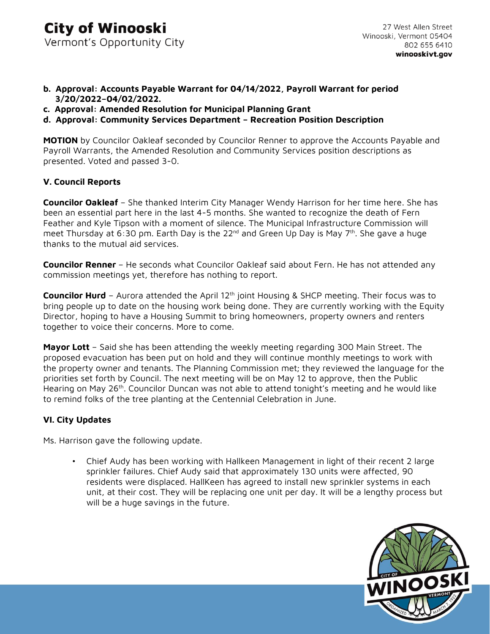- **b. Approval: Accounts Payable Warrant for 04/14/2022, Payroll Warrant for period 3/20/2022–04/02/2022.**
- **c. Approval: Amended Resolution for Municipal Planning Grant**
- **d. Approval: Community Services Department – Recreation Position Description**

**MOTION** by Councilor Oakleaf seconded by Councilor Renner to approve the Accounts Payable and Payroll Warrants, the Amended Resolution and Community Services position descriptions as presented. Voted and passed 3-0.

### **V. Council Reports**

**Councilor Oakleaf** – She thanked Interim City Manager Wendy Harrison for her time here. She has been an essential part here in the last 4-5 months. She wanted to recognize the death of Fern Feather and Kyle Tipson with a moment of silence. The Municipal Infrastructure Commission will meet Thursday at 6:30 pm. Earth Day is the 22<sup>nd</sup> and Green Up Day is May 7<sup>th</sup>. She gave a huge thanks to the mutual aid services.

**Councilor Renner** – He seconds what Councilor Oakleaf said about Fern. He has not attended any commission meetings yet, therefore has nothing to report.

**Councilor Hurd** – Aurora attended the April 12<sup>th</sup> joint Housing & SHCP meeting. Their focus was to bring people up to date on the housing work being done. They are currently working with the Equity Director, hoping to have a Housing Summit to bring homeowners, property owners and renters together to voice their concerns. More to come.

**Mayor Lott** – Said she has been attending the weekly meeting regarding 300 Main Street. The proposed evacuation has been put on hold and they will continue monthly meetings to work with the property owner and tenants. The Planning Commission met; they reviewed the language for the priorities set forth by Council. The next meeting will be on May 12 to approve, then the Public Hearing on May 26<sup>th</sup>. Councilor Duncan was not able to attend tonight's meeting and he would like to remind folks of the tree planting at the Centennial Celebration in June.

### **VI. City Updates**

Ms. Harrison gave the following update.

• Chief Audy has been working with Hallkeen Management in light of their recent 2 large sprinkler failures. Chief Audy said that approximately 130 units were affected, 90 residents were displaced. HallKeen has agreed to install new sprinkler systems in each unit, at their cost. They will be replacing one unit per day. It will be a lengthy process but will be a huge savings in the future.

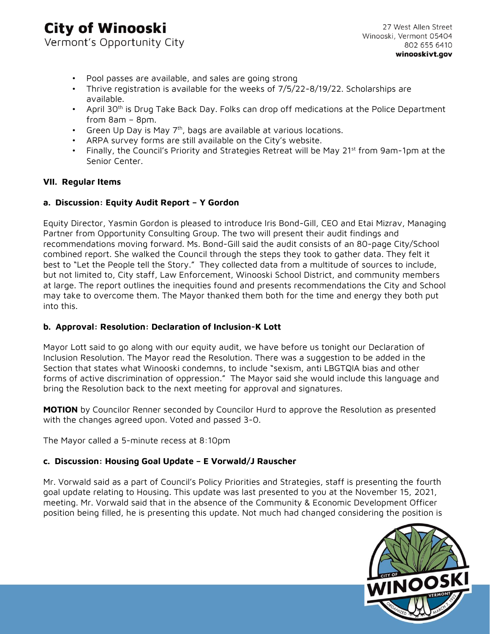# **City of Winooski** Vermont's Opportunity City

- Pool passes are available, and sales are going strong
- Thrive registration is available for the weeks of 7/5/22-8/19/22. Scholarships are available.
- April 30<sup>th</sup> is Drug Take Back Day. Folks can drop off medications at the Police Department from 8am – 8pm.
- Green Up Day is May  $7<sup>th</sup>$ , bags are available at various locations.
- ARPA survey forms are still available on the City's website.
- Finally, the Council's Priority and Strategies Retreat will be May 21<sup>st</sup> from 9am-1pm at the Senior Center.

### **VII. Regular Items**

### **a. Discussion: Equity Audit Report – Y Gordon**

Equity Director, Yasmin Gordon is pleased to introduce Iris Bond-Gill, CEO and Etai Mizrav, Managing Partner from Opportunity Consulting Group. The two will present their audit findings and recommendations moving forward. Ms. Bond-Gill said the audit consists of an 80-page City/School combined report. She walked the Council through the steps they took to gather data. They felt it best to "Let the People tell the Story." They collected data from a multitude of sources to include, but not limited to, City staff, Law Enforcement, Winooski School District, and community members at large. The report outlines the inequities found and presents recommendations the City and School may take to overcome them. The Mayor thanked them both for the time and energy they both put into this.

### **b. Approval: Resolution: Declaration of Inclusion-K Lott**

Mayor Lott said to go along with our equity audit, we have before us tonight our Declaration of Inclusion Resolution. The Mayor read the Resolution. There was a suggestion to be added in the Section that states what Winooski condemns, to include "sexism, anti LBGTQIA bias and other forms of active discrimination of oppression." The Mayor said she would include this language and bring the Resolution back to the next meeting for approval and signatures.

**MOTION** by Councilor Renner seconded by Councilor Hurd to approve the Resolution as presented with the changes agreed upon. Voted and passed 3-0.

The Mayor called a 5-minute recess at 8:10pm

### **c. Discussion: Housing Goal Update – E Vorwald/J Rauscher**

Mr. Vorwald said as a part of Council's Policy Priorities and Strategies, staff is presenting the fourth goal update relating to Housing. This update was last presented to you at the November 15, 2021, meeting. Mr. Vorwald said that in the absence of the Community & Economic Development Officer position being filled, he is presenting this update. Not much had changed considering the position is

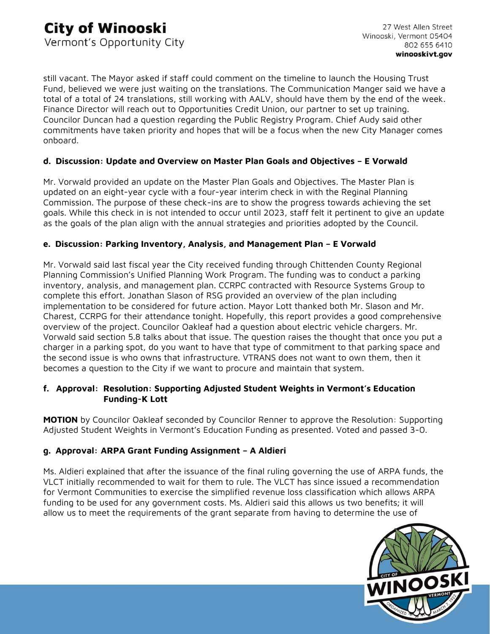still vacant. The Mayor asked if staff could comment on the timeline to launch the Housing Trust Fund, believed we were just waiting on the translations. The Communication Manger said we have a total of a total of 24 translations, still working with AALV, should have them by the end of the week. Finance Director will reach out to Opportunities Credit Union, our partner to set up training. Councilor Duncan had a question regarding the Public Registry Program. Chief Audy said other commitments have taken priority and hopes that will be a focus when the new City Manager comes onboard.

## **d. Discussion: Update and Overview on Master Plan Goals and Objectives – E Vorwald**

Mr. Vorwald provided an update on the Master Plan Goals and Objectives. The Master Plan is updated on an eight-year cycle with a four-year interim check in with the Reginal Planning Commission. The purpose of these check-ins are to show the progress towards achieving the set goals. While this check in is not intended to occur until 2023, staff felt it pertinent to give an update as the goals of the plan align with the annual strategies and priorities adopted by the Council.

## **e. Discussion: Parking Inventory, Analysis, and Management Plan – E Vorwald**

Mr. Vorwald said last fiscal year the City received funding through Chittenden County Regional Planning Commission's Unified Planning Work Program. The funding was to conduct a parking inventory, analysis, and management plan. CCRPC contracted with Resource Systems Group to complete this effort. Jonathan Slason of RSG provided an overview of the plan including implementation to be considered for future action. Mayor Lott thanked both Mr. Slason and Mr. Charest, CCRPG for their attendance tonight. Hopefully, this report provides a good comprehensive overview of the project. Councilor Oakleaf had a question about electric vehicle chargers. Mr. Vorwald said section 5.8 talks about that issue. The question raises the thought that once you put a charger in a parking spot, do you want to have that type of commitment to that parking space and the second issue is who owns that infrastructure. VTRANS does not want to own them, then it becomes a question to the City if we want to procure and maintain that system.

### **f. Approval: Resolution: Supporting Adjusted Student Weights in Vermont's Education Funding-K Lott**

**MOTION** by Councilor Oakleaf seconded by Councilor Renner to approve the Resolution: Supporting Adjusted Student Weights in Vermont's Education Funding as presented. Voted and passed 3-0.

# **g. Approval: ARPA Grant Funding Assignment – A Aldieri**

Ms. Aldieri explained that after the issuance of the final ruling governing the use of ARPA funds, the VLCT initially recommended to wait for them to rule. The VLCT has since issued a recommendation for Vermont Communities to exercise the simplified revenue loss classification which allows ARPA funding to be used for any government costs. Ms. Aldieri said this allows us two benefits; it will allow us to meet the requirements of the grant separate from having to determine the use of

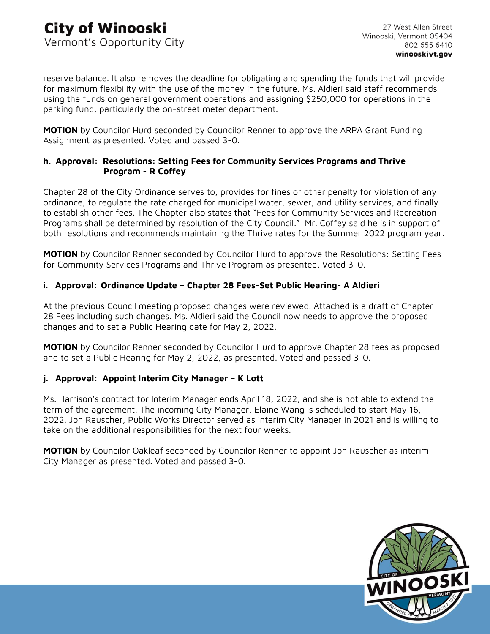reserve balance. It also removes the deadline for obligating and spending the funds that will provide for maximum flexibility with the use of the money in the future. Ms. Aldieri said staff recommends using the funds on general government operations and assigning \$250,000 for operations in the parking fund, particularly the on-street meter department.

**MOTION** by Councilor Hurd seconded by Councilor Renner to approve the ARPA Grant Funding Assignment as presented. Voted and passed 3-0.

## **h. Approval: Resolutions: Setting Fees for Community Services Programs and Thrive Program - R Coffey**

Chapter 28 of the City Ordinance serves to, provides for fines or other penalty for violation of any ordinance, to regulate the rate charged for municipal water, sewer, and utility services, and finally to establish other fees. The Chapter also states that "Fees for Community Services and Recreation Programs shall be determined by resolution of the City Council." Mr. Coffey said he is in support of both resolutions and recommends maintaining the Thrive rates for the Summer 2022 program year.

**MOTION** by Councilor Renner seconded by Councilor Hurd to approve the Resolutions: Setting Fees for Community Services Programs and Thrive Program as presented. Voted 3-0.

### **i. Approval: Ordinance Update – Chapter 28 Fees-Set Public Hearing- A Aldieri**

At the previous Council meeting proposed changes were reviewed. Attached is a draft of Chapter 28 Fees including such changes. Ms. Aldieri said the Council now needs to approve the proposed changes and to set a Public Hearing date for May 2, 2022.

**MOTION** by Councilor Renner seconded by Councilor Hurd to approve Chapter 28 fees as proposed and to set a Public Hearing for May 2, 2022, as presented. Voted and passed 3-0.

### **j. Approval: Appoint Interim City Manager – K Lott**

Ms. Harrison's contract for Interim Manager ends April 18, 2022, and she is not able to extend the term of the agreement. The incoming City Manager, Elaine Wang is scheduled to start May 16, 2022. Jon Rauscher, Public Works Director served as interim City Manager in 2021 and is willing to take on the additional responsibilities for the next four weeks.

**MOTION** by Councilor Oakleaf seconded by Councilor Renner to appoint Jon Rauscher as interim City Manager as presented. Voted and passed 3-0.